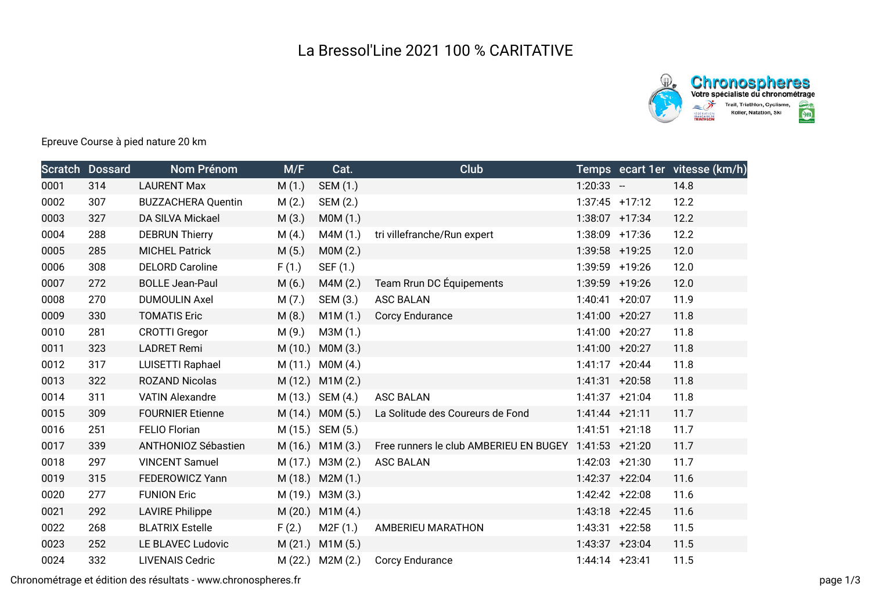

## Epreuve Course à pied nature 20 km

|      | <b>Scratch Dossard</b> | Nom Prénom                 | M/F     | Cat.                | Club                                   |                   |                  | Temps ecart 1er vitesse (km/h) |
|------|------------------------|----------------------------|---------|---------------------|----------------------------------------|-------------------|------------------|--------------------------------|
| 0001 | 314                    | <b>LAURENT Max</b>         | M(1.)   | SEM (1.)            |                                        | $1:20:33 -$       |                  | 14.8                           |
| 0002 | 307                    | <b>BUZZACHERA Quentin</b>  | M(2.)   | SEM (2.)            |                                        | $1:37:45$ +17:12  |                  | 12.2                           |
| 0003 | 327                    | DA SILVA Mickael           | M(3.)   | MOM(1.)             |                                        |                   | $1:38:07$ +17:34 | 12.2                           |
| 0004 | 288                    | <b>DEBRUN Thierry</b>      | M(4.)   | M4M(1.)             | tri villefranche/Run expert            | 1:38:09 +17:36    |                  | 12.2                           |
| 0005 | 285                    | <b>MICHEL Patrick</b>      | M(5.)   | MOM(2.)             |                                        | 1:39:58 +19:25    |                  | 12.0                           |
| 0006 | 308                    | <b>DELORD Caroline</b>     | F(1.)   | SEF (1.)            |                                        | 1:39:59 +19:26    |                  | 12.0                           |
| 0007 | 272                    | <b>BOLLE Jean-Paul</b>     | M(6.)   | M4M(2.)             | Team Rrun DC Équipements               | 1:39:59 +19:26    |                  | 12.0                           |
| 0008 | 270                    | <b>DUMOULIN Axel</b>       | M(7.)   | SEM (3.)            | <b>ASC BALAN</b>                       | $1:40:41 + 20:07$ |                  | 11.9                           |
| 0009 | 330                    | <b>TOMATIS Eric</b>        | M(8.)   | M1M(1.)             | Corcy Endurance                        | $1:41:00$ +20:27  |                  | 11.8                           |
| 0010 | 281                    | <b>CROTTI Gregor</b>       | M(9.)   | M3M (1.)            |                                        | $1:41:00$ +20:27  |                  | 11.8                           |
| 0011 | 323                    | <b>LADRET Remi</b>         | M(10.)  | MOM(3.)             |                                        | $1:41:00$ +20:27  |                  | 11.8                           |
| 0012 | 317                    | LUISETTI Raphael           |         | M (11.) M0M (4.)    |                                        | $1:41:17 + 20:44$ |                  | 11.8                           |
| 0013 | 322                    | <b>ROZAND Nicolas</b>      |         | M (12.) M1M (2.)    |                                        | $1:41:31 + 20:58$ |                  | 11.8                           |
| 0014 | 311                    | <b>VATIN Alexandre</b>     |         | M (13.) SEM (4.)    | <b>ASC BALAN</b>                       | $1:41:37$ +21:04  |                  | 11.8                           |
| 0015 | 309                    | <b>FOURNIER Etienne</b>    |         | $M(14.)$ MOM $(5.)$ | La Solitude des Coureurs de Fond       | $1:41:44$ +21:11  |                  | 11.7                           |
| 0016 | 251                    | <b>FELIO Florian</b>       |         | M (15.) SEM (5.)    |                                        | $1:41:51$ +21:18  |                  | 11.7                           |
| 0017 | 339                    | <b>ANTHONIOZ Sébastien</b> |         | $M(16.)$ $M1M(3.)$  | Free runners le club AMBERIEU EN BUGEY | $1:41:53 +21:20$  |                  | 11.7                           |
| 0018 | 297                    | <b>VINCENT Samuel</b>      |         | M (17.) M3M (2.)    | <b>ASC BALAN</b>                       | $1:42:03$ +21:30  |                  | 11.7                           |
| 0019 | 315                    | <b>FEDEROWICZ Yann</b>     |         | $M(18.)$ M2M $(1.)$ |                                        | $1:42:37$ +22:04  |                  | 11.6                           |
| 0020 | 277                    | <b>FUNION Eric</b>         |         | M (19.) M3M (3.)    |                                        | $1:42:42 +22:08$  |                  | 11.6                           |
| 0021 | 292                    | <b>LAVIRE Philippe</b>     | M (20.) | M1M(4.)             |                                        | $1:43:18$ +22:45  |                  | 11.6                           |
| 0022 | 268                    | <b>BLATRIX Estelle</b>     | F(2.)   | M2F(1.)             | AMBERIEU MARATHON                      | $1:43:31$ +22:58  |                  | 11.5                           |
| 0023 | 252                    | LE BLAVEC Ludovic          | M (21.) | M1M(5.)             |                                        | $1:43:37 +23:04$  |                  | 11.5                           |
| 0024 | 332                    | <b>LIVENAIS Cedric</b>     |         | M (22.) M2M (2.)    | Corcy Endurance                        | $1:44:14$ +23:41  |                  | 11.5                           |

Chronométrage et édition des résultats - www.chronospheres.fr page 1/3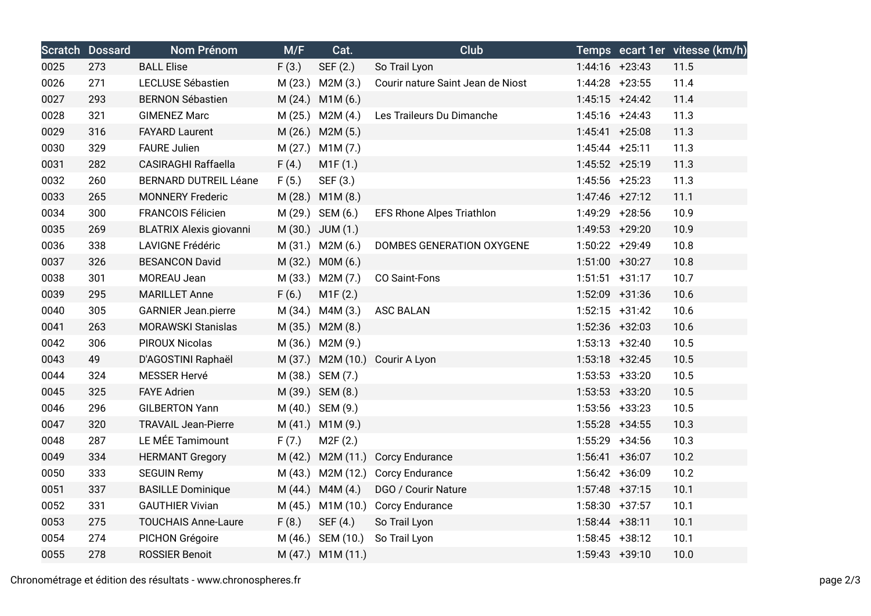|      | <b>Scratch Dossard</b> | Nom Prénom                     | M/F     | Cat.                | <b>Club</b>                       |                   |                  | Temps ecart 1er vitesse (km/h) |
|------|------------------------|--------------------------------|---------|---------------------|-----------------------------------|-------------------|------------------|--------------------------------|
| 0025 | 273                    | <b>BALL Elise</b>              | F(3.)   | SEF (2.)            | So Trail Lyon                     |                   | $1:44:16$ +23:43 | 11.5                           |
| 0026 | 271                    | LECLUSE Sébastien              | M(23.)  | M2M (3.)            | Courir nature Saint Jean de Niost |                   | $1:44:28$ +23:55 | 11.4                           |
| 0027 | 293                    | <b>BERNON Sébastien</b>        | M(24.)  | M1M (6.)            |                                   |                   | $1:45:15$ +24:42 | 11.4                           |
| 0028 | 321                    | <b>GIMENEZ Marc</b>            |         | M (25.) M2M (4.)    | Les Traileurs Du Dimanche         |                   | $1:45:16$ +24:43 | 11.3                           |
| 0029 | 316                    | <b>FAYARD Laurent</b>          |         | M (26.) M2M (5.)    |                                   | $1:45:41 + 25:08$ |                  | 11.3                           |
| 0030 | 329                    | <b>FAURE Julien</b>            | M(27.)  | M1M(7.)             |                                   | $1:45:44$ +25:11  |                  | 11.3                           |
| 0031 | 282                    | <b>CASIRAGHI Raffaella</b>     | F(4.)   | M1F(1.)             |                                   | 1:45:52 +25:19    |                  | 11.3                           |
| 0032 | 260                    | <b>BERNARD DUTREIL Léane</b>   | F(5.)   | SEF (3.)            |                                   | 1:45:56 +25:23    |                  | 11.3                           |
| 0033 | 265                    | <b>MONNERY Frederic</b>        | M(28.)  | M1M(8.)             |                                   |                   | $1:47:46$ +27:12 | 11.1                           |
| 0034 | 300                    | <b>FRANCOIS Félicien</b>       |         | M (29.) SEM (6.)    | EFS Rhone Alpes Triathlon         |                   | 1:49:29 +28:56   | 10.9                           |
| 0035 | 269                    | <b>BLATRIX Alexis giovanni</b> |         | M (30.) JUM (1.)    |                                   | 1:49:53 +29:20    |                  | 10.9                           |
| 0036 | 338                    | <b>LAVIGNE Frédéric</b>        |         | M (31.) M2M (6.)    | DOMBES GENERATION OXYGENE         |                   | $1:50:22 +29:49$ | 10.8                           |
| 0037 | 326                    | <b>BESANCON David</b>          |         | M (32.) M0M (6.)    |                                   | $1:51:00$ +30:27  |                  | 10.8                           |
| 0038 | 301                    | MOREAU Jean                    |         | M (33.) M2M (7.)    | CO Saint-Fons                     |                   | $1:51:51$ +31:17 | 10.7                           |
| 0039 | 295                    | <b>MARILLET Anne</b>           | F(6.)   | M1F(2.)             |                                   |                   | 1:52:09 +31:36   | 10.6                           |
| 0040 | 305                    | <b>GARNIER Jean.pierre</b>     |         | $M(34.)$ M4M $(3.)$ | <b>ASC BALAN</b>                  |                   | $1:52:15$ +31:42 | 10.6                           |
| 0041 | 263                    | <b>MORAWSKI Stanislas</b>      |         | M (35.) M2M (8.)    |                                   | $1:52:36$ +32:03  |                  | 10.6                           |
| 0042 | 306                    | <b>PIROUX Nicolas</b>          | M (36.) | M2M (9.)            |                                   |                   | $1:53:13 +32:40$ | 10.5                           |
| 0043 | 49                     | D'AGOSTINI Raphaël             |         |                     | M (37.) M2M (10.) Courir A Lyon   | $1:53:18$ +32:45  |                  | 10.5                           |
| 0044 | 324                    | <b>MESSER Hervé</b>            |         | M (38.) SEM (7.)    |                                   | $1:53:53$ +33:20  |                  | 10.5                           |
| 0045 | 325                    | <b>FAYE Adrien</b>             |         | M (39.) SEM (8.)    |                                   | $1:53:53$ +33:20  |                  | 10.5                           |
| 0046 | 296                    | <b>GILBERTON Yann</b>          |         | M (40.) SEM (9.)    |                                   |                   | $1:53:56$ +33:23 | 10.5                           |
| 0047 | 320                    | <b>TRAVAIL Jean-Pierre</b>     |         | M (41.) M1M (9.)    |                                   | $1:55:28$ +34:55  |                  | 10.3                           |
| 0048 | 287                    | LE MÉE Tamimount               | F(7.)   | M2F(2.)             |                                   |                   | 1:55:29 +34:56   | 10.3                           |
| 0049 | 334                    | <b>HERMANT Gregory</b>         | M(42.)  | M2M (11.)           | <b>Corcy Endurance</b>            | $1:56:41 + 36:07$ |                  | 10.2                           |
| 0050 | 333                    | <b>SEGUIN Remy</b>             |         | M (43.) M2M (12.)   | <b>Corcy Endurance</b>            |                   | $1:56:42 +36:09$ | 10.2                           |
| 0051 | 337                    | <b>BASILLE Dominique</b>       | M (44.) | M4M (4.)            | DGO / Courir Nature               |                   | $1:57:48$ +37:15 | 10.1                           |
| 0052 | 331                    | <b>GAUTHIER Vivian</b>         |         |                     | M (45.) M1M (10.) Corcy Endurance |                   | $1:58:30 +37:57$ | 10.1                           |
| 0053 | 275                    | <b>TOUCHAIS Anne-Laure</b>     | F(8.)   | SEF (4.)            | So Trail Lyon                     | $1:58:44$ +38:11  |                  | 10.1                           |
| 0054 | 274                    | PICHON Grégoire                | M (46.) | SEM (10.)           | So Trail Lyon                     |                   | $1:58:45$ +38:12 | 10.1                           |
| 0055 | 278                    | <b>ROSSIER Benoit</b>          |         | M (47.) M1M (11.)   |                                   | $1:59:43 +39:10$  |                  | 10.0                           |